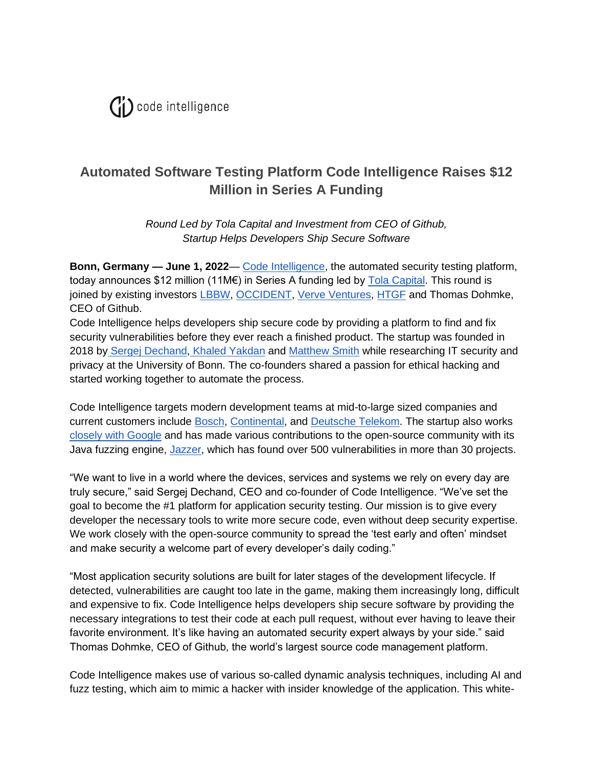

## **Automated Software Testing Platform Code Intelligence Raises \$12 Million in Series A Funding**

*Round Led by Tola Capital and Investment from CEO of Github, Startup Helps Developers Ship Secure Software*

**Bonn, Germany — June 1, 2022**— [Code Intelligence,](https://www.code-intelligence.com/) the automated security testing platform, today announces \$12 million (11M€) in Series A funding led by [Tola Capital.](https://www.tolacapital.com/) This round is joined by existing investors [LBBW,](https://www.lbbw.de/) [OCCIDENT,](https://www.occident.group/en/) [Verve Ventures,](https://www.verve.vc/) [HTGF](https://www.htgf.de/en/) and Thomas Dohmke, CEO of Github.

Code Intelligence helps developers ship secure code by providing a platform to find and fix security vulnerabilities before they ever reach a finished product. The startup was founded in 2018 by [Sergej Dechand,](https://www.linkedin.com/in/sergej-dechand/) [Khaled Yakdan](https://www.linkedin.com/in/khaled-yakdan-53b14620/) and [Matthew Smith](https://www.linkedin.com/in/matthew-smith-376a905a/?originalSubdomain=de) while researching IT security and privacy at the University of Bonn. The co-founders shared a passion for ethical hacking and started working together to automate the process.

Code Intelligence targets modern development teams at mid-to-large sized companies and current customers include [Bosch,](https://www.bosch-presse.de/pressportal/de/en/open-innovation-bosch-honors-best-start-up-collaboration-190400.html) [Continental,](https://www.code-intelligence.com/fuzzing-use-case-automtive-continental?) and [Deutsche Telekom.](https://www.code-intelligence.com/customer-success-telekom?hs_preview=aHCAsvgT-43604044905) The startup also works [closely with Google](https://security.googleblog.com/2021/03/fuzzing-java-in-oss-fuzz.html) and has made various contributions to the open-source community with its Java fuzzing engine, [Jazzer,](https://github.com/CodeIntelligenceTesting/jazzer) which has found over 500 vulnerabilities in more than 30 projects.

"We want to live in a world where the devices, services and systems we rely on every day are truly secure," said Sergej Dechand, CEO and co-founder of Code Intelligence. "We've set the goal to become the #1 platform for application security testing. Our mission is to give every developer the necessary tools to write more secure code, even without deep security expertise. We work closely with the open-source community to spread the 'test early and often' mindset and make security a welcome part of every developer's daily coding."

"Most application security solutions are built for later stages of the development lifecycle. If detected, vulnerabilities are caught too late in the game, making them increasingly long, difficult and expensive to fix. Code Intelligence helps developers ship secure software by providing the necessary integrations to test their code at each pull request, without ever having to leave their favorite environment. It's like having an automated security expert always by your side." said Thomas Dohmke, CEO of Github, the world's largest source code management platform.

Code Intelligence makes use of various so-called dynamic analysis techniques, including AI and fuzz testing, which aim to mimic a hacker with insider knowledge of the application. This white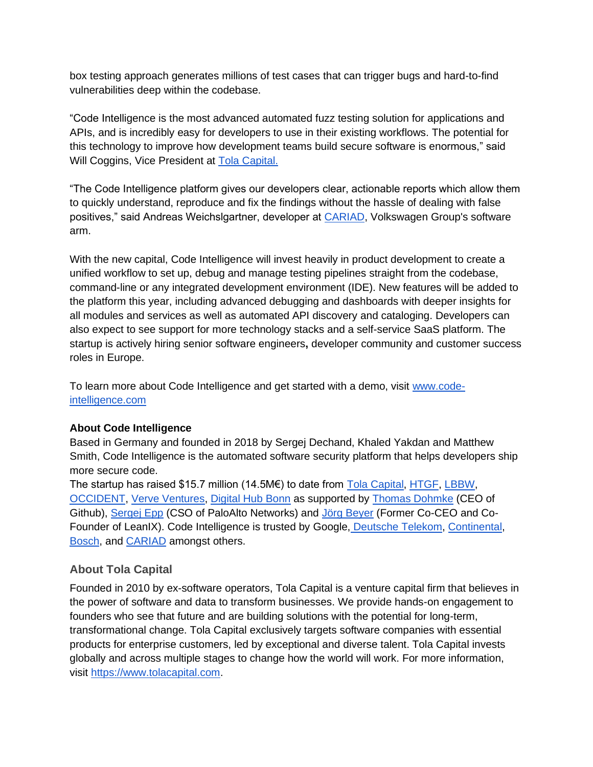box testing approach generates millions of test cases that can trigger bugs and hard-to-find vulnerabilities deep within the codebase.

"Code Intelligence is the most advanced automated fuzz testing solution for applications and APIs, and is incredibly easy for developers to use in their existing workflows. The potential for this technology to improve how development teams build secure software is enormous," said Will Coggins, Vice President at [Tola Capital.](https://www.tolacapital.com/) 

"The Code Intelligence platform gives our developers clear, actionable reports which allow them to quickly understand, reproduce and fix the findings without the hassle of dealing with false positives," said Andreas Weichslgartner, developer at [CARIAD,](https://cariad.technology/) Volkswagen Group's software arm.

With the new capital, Code Intelligence will invest heavily in product development to create a unified workflow to set up, debug and manage testing pipelines straight from the codebase, command-line or any integrated development environment (IDE). New features will be added to the platform this year, including advanced debugging and dashboards with deeper insights for all modules and services as well as automated API discovery and cataloging. Developers can also expect to see support for more technology stacks and a self-service SaaS platform. The startup is actively hiring senior software engineers**,** developer community and customer success roles in Europe.

To learn more about Code Intelligence and get started with a demo, visit [www.code](http://www.code-intelligence.com/)[intelligence.com](http://www.code-intelligence.com/)

## **About Code Intelligence**

Based in Germany and founded in 2018 by Sergej Dechand, Khaled Yakdan and Matthew Smith, Code Intelligence is the automated software security platform that helps developers ship more secure code.

The startup has raised \$15.7 million (14.5M€) to date from [Tola Capital,](https://www.tolacapital.com/) [HTGF,](https://www.htgf.de/en/) [LBBW,](https://www.lbbw.de/) [OCCIDENT,](https://www.occident.group/en/) [Verve Ventures,](https://www.verve.vc/) [Digital Hub Bonn](https://www.digitalhub.de/en/) as supported by [Thomas Dohmke](https://www.linkedin.com/in/thomas-dohmke-24855b10/) (CEO of Github), [Sergej Epp](https://www.linkedin.com/in/sergejepp/) (CSO of PaloAlto Networks) and [Jörg Beyer](https://www.linkedin.com/in/jgbeyer/) (Former Co-CEO and Co-Founder of LeanIX). Code Intelligence is trusted by Google, [Deutsche Telekom,](https://www.code-intelligence.com/customer-success-telekom?hs_preview=aHCAsvgT-43604044905) [Continental,](https://www.code-intelligence.com/fuzzing-use-case-automtive-continental?) [Bosch,](https://www.bosch-presse.de/pressportal/de/en/open-innovation-bosch-honors-best-start-up-collaboration-190400.html) and [CARIAD](https://www.code-intelligence.com/success-stories/cariad) amongst others.

## **About Tola Capital**

Founded in 2010 by ex-software operators, Tola Capital is a venture capital firm that believes in the power of software and data to transform businesses. We provide hands-on engagement to founders who see that future and are building solutions with the potential for long-term, transformational change. Tola Capital exclusively targets software companies with essential products for enterprise customers, led by exceptional and diverse talent. Tola Capital invests globally and across multiple stages to change how the world will work. For more information, visi[t](https://c212.net/c/link/?t=0&l=en&o=3420993-1&h=3199732900&u=https%3A%2F%2Fwww.tolacapital.com%2F&a=%C2%A0) [https://www.tolacapital.com.](https://www.tolacapital.com/)